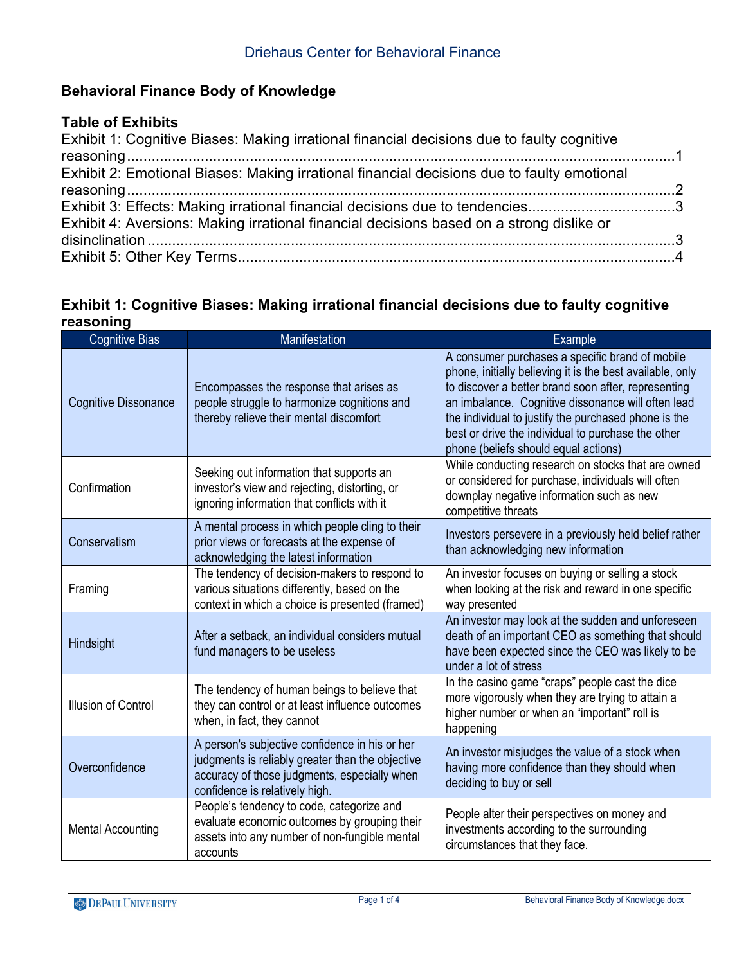# **Behavioral Finance Body of Knowledge**

## **Table of Exhibits**

| Exhibit 1: Cognitive Biases: Making irrational financial decisions due to faulty cognitive |  |
|--------------------------------------------------------------------------------------------|--|
|                                                                                            |  |
| Exhibit 2: Emotional Biases: Making irrational financial decisions due to faulty emotional |  |
|                                                                                            |  |
| Exhibit 3: Effects: Making irrational financial decisions due to tendencies3               |  |
| Exhibit 4: Aversions: Making irrational financial decisions based on a strong dislike or   |  |
|                                                                                            |  |
|                                                                                            |  |
|                                                                                            |  |

#### **Exhibit 1: Cognitive Biases: Making irrational financial decisions due to faulty cognitive reasoning**

| <b>Cognitive Bias</b>       | Manifestation                                                                                                                                                                        | Example                                                                                                                                                                                                                                                                                                                                                                         |
|-----------------------------|--------------------------------------------------------------------------------------------------------------------------------------------------------------------------------------|---------------------------------------------------------------------------------------------------------------------------------------------------------------------------------------------------------------------------------------------------------------------------------------------------------------------------------------------------------------------------------|
| <b>Cognitive Dissonance</b> | Encompasses the response that arises as<br>people struggle to harmonize cognitions and<br>thereby relieve their mental discomfort                                                    | A consumer purchases a specific brand of mobile<br>phone, initially believing it is the best available, only<br>to discover a better brand soon after, representing<br>an imbalance. Cognitive dissonance will often lead<br>the individual to justify the purchased phone is the<br>best or drive the individual to purchase the other<br>phone (beliefs should equal actions) |
| Confirmation                | Seeking out information that supports an<br>investor's view and rejecting, distorting, or<br>ignoring information that conflicts with it                                             | While conducting research on stocks that are owned<br>or considered for purchase, individuals will often<br>downplay negative information such as new<br>competitive threats                                                                                                                                                                                                    |
| Conservatism                | A mental process in which people cling to their<br>prior views or forecasts at the expense of<br>acknowledging the latest information                                                | Investors persevere in a previously held belief rather<br>than acknowledging new information                                                                                                                                                                                                                                                                                    |
| Framing                     | The tendency of decision-makers to respond to<br>various situations differently, based on the<br>context in which a choice is presented (framed)                                     | An investor focuses on buying or selling a stock<br>when looking at the risk and reward in one specific<br>way presented                                                                                                                                                                                                                                                        |
| Hindsight                   | After a setback, an individual considers mutual<br>fund managers to be useless                                                                                                       | An investor may look at the sudden and unforeseen<br>death of an important CEO as something that should<br>have been expected since the CEO was likely to be<br>under a lot of stress                                                                                                                                                                                           |
| Illusion of Control         | The tendency of human beings to believe that<br>they can control or at least influence outcomes<br>when, in fact, they cannot                                                        | In the casino game "craps" people cast the dice<br>more vigorously when they are trying to attain a<br>higher number or when an "important" roll is<br>happening                                                                                                                                                                                                                |
| Overconfidence              | A person's subjective confidence in his or her<br>judgments is reliably greater than the objective<br>accuracy of those judgments, especially when<br>confidence is relatively high. | An investor misjudges the value of a stock when<br>having more confidence than they should when<br>deciding to buy or sell                                                                                                                                                                                                                                                      |
| <b>Mental Accounting</b>    | People's tendency to code, categorize and<br>evaluate economic outcomes by grouping their<br>assets into any number of non-fungible mental<br>accounts                               | People alter their perspectives on money and<br>investments according to the surrounding<br>circumstances that they face.                                                                                                                                                                                                                                                       |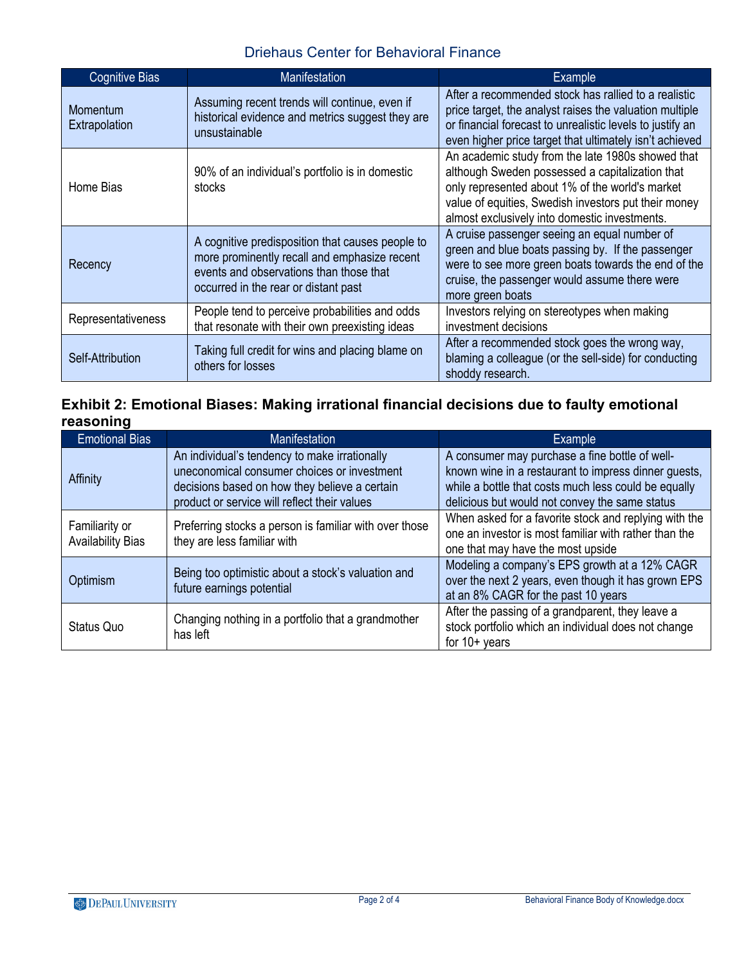## Driehaus Center for Behavioral Finance

| <b>Cognitive Bias</b>            | <b>Manifestation</b>                                                                                                                                                                | <b>Example</b>                                                                                                                                                                                                                                                   |
|----------------------------------|-------------------------------------------------------------------------------------------------------------------------------------------------------------------------------------|------------------------------------------------------------------------------------------------------------------------------------------------------------------------------------------------------------------------------------------------------------------|
| <b>Momentum</b><br>Extrapolation | Assuming recent trends will continue, even if<br>historical evidence and metrics suggest they are<br>unsustainable                                                                  | After a recommended stock has rallied to a realistic<br>price target, the analyst raises the valuation multiple<br>or financial forecast to unrealistic levels to justify an<br>even higher price target that ultimately isn't achieved                          |
| Home Bias                        | 90% of an individual's portfolio is in domestic<br>stocks                                                                                                                           | An academic study from the late 1980s showed that<br>although Sweden possessed a capitalization that<br>only represented about 1% of the world's market<br>value of equities, Swedish investors put their money<br>almost exclusively into domestic investments. |
| Recency                          | A cognitive predisposition that causes people to<br>more prominently recall and emphasize recent<br>events and observations than those that<br>occurred in the rear or distant past | A cruise passenger seeing an equal number of<br>green and blue boats passing by. If the passenger<br>were to see more green boats towards the end of the<br>cruise, the passenger would assume there were<br>more green boats                                    |
| Representativeness               | People tend to perceive probabilities and odds<br>that resonate with their own preexisting ideas                                                                                    | Investors relying on stereotypes when making<br>investment decisions                                                                                                                                                                                             |
| Self-Attribution                 | Taking full credit for wins and placing blame on<br>others for losses                                                                                                               | After a recommended stock goes the wrong way,<br>blaming a colleague (or the sell-side) for conducting<br>shoddy research.                                                                                                                                       |

#### **Exhibit 2: Emotional Biases: Making irrational financial decisions due to faulty emotional reasoning**

| <b>Emotional Bias</b>                      | <b>Manifestation</b>                                                                                                                                                                          | <b>Example</b>                                                                                                                                                                                                   |
|--------------------------------------------|-----------------------------------------------------------------------------------------------------------------------------------------------------------------------------------------------|------------------------------------------------------------------------------------------------------------------------------------------------------------------------------------------------------------------|
| Affinity                                   | An individual's tendency to make irrationally<br>uneconomical consumer choices or investment<br>decisions based on how they believe a certain<br>product or service will reflect their values | A consumer may purchase a fine bottle of well-<br>known wine in a restaurant to impress dinner guests,<br>while a bottle that costs much less could be equally<br>delicious but would not convey the same status |
| Familiarity or<br><b>Availability Bias</b> | Preferring stocks a person is familiar with over those<br>they are less familiar with                                                                                                         | When asked for a favorite stock and replying with the<br>one an investor is most familiar with rather than the<br>one that may have the most upside                                                              |
| Optimism                                   | Being too optimistic about a stock's valuation and<br>future earnings potential                                                                                                               | Modeling a company's EPS growth at a 12% CAGR<br>over the next 2 years, even though it has grown EPS<br>at an 8% CAGR for the past 10 years                                                                      |
| Status Quo                                 | Changing nothing in a portfolio that a grandmother<br>has left                                                                                                                                | After the passing of a grandparent, they leave a<br>stock portfolio which an individual does not change<br>for $10+$ years                                                                                       |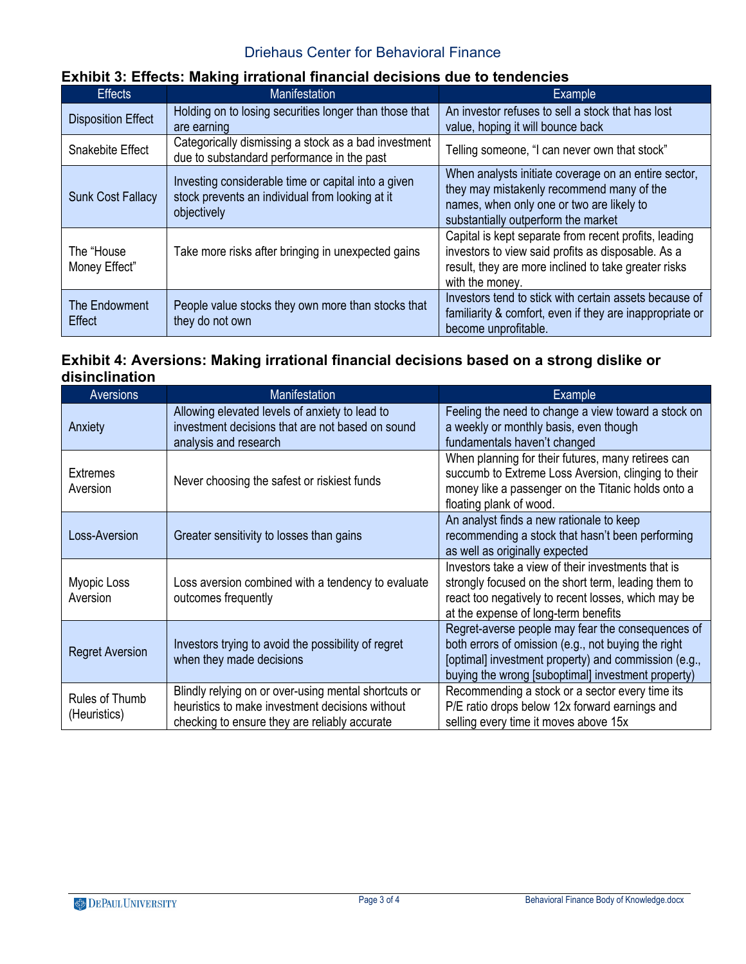#### Driehaus Center for Behavioral Finance

# **Exhibit 3: Effects: Making irrational financial decisions due to tendencies**

| <b>Effects</b>                 | <b>Manifestation</b>                                                                                                  | <b>Example</b>                                                                                                                                                                         |
|--------------------------------|-----------------------------------------------------------------------------------------------------------------------|----------------------------------------------------------------------------------------------------------------------------------------------------------------------------------------|
| <b>Disposition Effect</b>      | Holding on to losing securities longer than those that<br>are earning                                                 | An investor refuses to sell a stock that has lost<br>value, hoping it will bounce back                                                                                                 |
| Snakebite Effect               | Categorically dismissing a stock as a bad investment<br>due to substandard performance in the past                    | Telling someone, "I can never own that stock"                                                                                                                                          |
| <b>Sunk Cost Fallacy</b>       | Investing considerable time or capital into a given<br>stock prevents an individual from looking at it<br>objectively | When analysts initiate coverage on an entire sector,<br>they may mistakenly recommend many of the<br>names, when only one or two are likely to<br>substantially outperform the market  |
| The "House<br>Money Effect"    | Take more risks after bringing in unexpected gains                                                                    | Capital is kept separate from recent profits, leading<br>investors to view said profits as disposable. As a<br>result, they are more inclined to take greater risks<br>with the money. |
| The Endowment<br><b>Effect</b> | People value stocks they own more than stocks that<br>they do not own                                                 | Investors tend to stick with certain assets because of<br>familiarity & comfort, even if they are inappropriate or<br>become unprofitable.                                             |

#### **Exhibit 4: Aversions: Making irrational financial decisions based on a strong dislike or disinclination**

| Aversions                      | <b>Manifestation</b>                                                                                                                                     | Example                                                                                                                                                                                                                |
|--------------------------------|----------------------------------------------------------------------------------------------------------------------------------------------------------|------------------------------------------------------------------------------------------------------------------------------------------------------------------------------------------------------------------------|
| Anxiety                        | Allowing elevated levels of anxiety to lead to<br>investment decisions that are not based on sound<br>analysis and research                              | Feeling the need to change a view toward a stock on<br>a weekly or monthly basis, even though<br>fundamentals haven't changed                                                                                          |
| <b>Extremes</b><br>Aversion    | Never choosing the safest or riskiest funds                                                                                                              | When planning for their futures, many retirees can<br>succumb to Extreme Loss Aversion, clinging to their<br>money like a passenger on the Titanic holds onto a<br>floating plank of wood.                             |
| Loss-Aversion                  | Greater sensitivity to losses than gains                                                                                                                 | An analyst finds a new rationale to keep<br>recommending a stock that hasn't been performing<br>as well as originally expected                                                                                         |
| Myopic Loss<br>Aversion        | Loss aversion combined with a tendency to evaluate<br>outcomes frequently                                                                                | Investors take a view of their investments that is<br>strongly focused on the short term, leading them to<br>react too negatively to recent losses, which may be<br>at the expense of long-term benefits               |
| <b>Regret Aversion</b>         | Investors trying to avoid the possibility of regret<br>when they made decisions                                                                          | Regret-averse people may fear the consequences of<br>both errors of omission (e.g., not buying the right<br>[optimal] investment property) and commission (e.g.,<br>buying the wrong [suboptimal] investment property) |
| Rules of Thumb<br>(Heuristics) | Blindly relying on or over-using mental shortcuts or<br>heuristics to make investment decisions without<br>checking to ensure they are reliably accurate | Recommending a stock or a sector every time its<br>P/E ratio drops below 12x forward earnings and<br>selling every time it moves above 15x                                                                             |